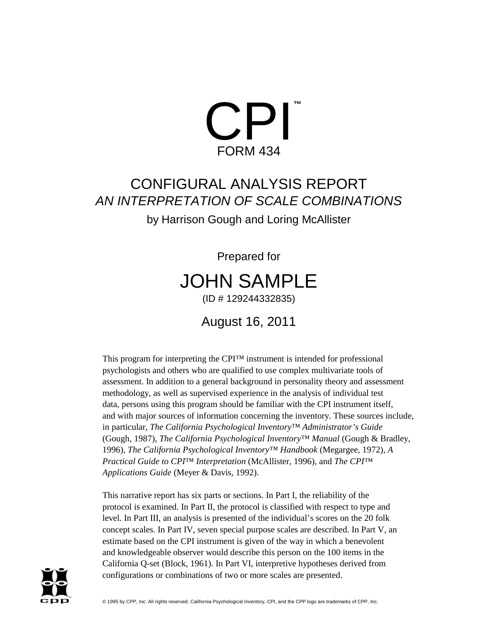

# CONFIGURAL ANALYSIS REPORT AN INTERPRETATION OF SCALE COMBINATIONS

by Harrison Gough and Loring McAllister

Prepared for JOHN SAMPLE (ID # 129244332835)

August 16, 2011

This program for interpreting the CPI™ instrument is intended for professional psychologists and others who are qualified to use complex multivariate tools of assessment. In addition to a general background in personality theory and assessment methodology, as well as supervised experience in the analysis of individual test data, persons using this program should be familiar with the CPI instrument itself, and with major sources of information concerning the inventory. These sources include, in particular, *The California Psychological Inventory™ Administrator's Guide* (Gough, 1987), *The California Psychological Inventory™ Manual* (Gough & Bradley, 1996), *The California Psychological Inventory™ Handbook* (Megargee, 1972), *A Practical Guide to CPI™ Interpretation* (McAllister, 1996), and *The CPI™ Applications Guide* (Meyer & Davis, 1992).

This narrative report has six parts or sections. In Part I, the reliability of the protocol is examined. In Part II, the protocol is classified with respect to type and level. In Part III, an analysis is presented of the individual's scores on the 20 folk concept scales. In Part IV, seven special purpose scales are described. In Part V, an estimate based on the CPI instrument is given of the way in which a benevolent and knowledgeable observer would describe this person on the 100 items in the California Q-set (Block, 1961). In Part VI, interpretive hypotheses derived from configurations or combinations of two or more scales are presented.

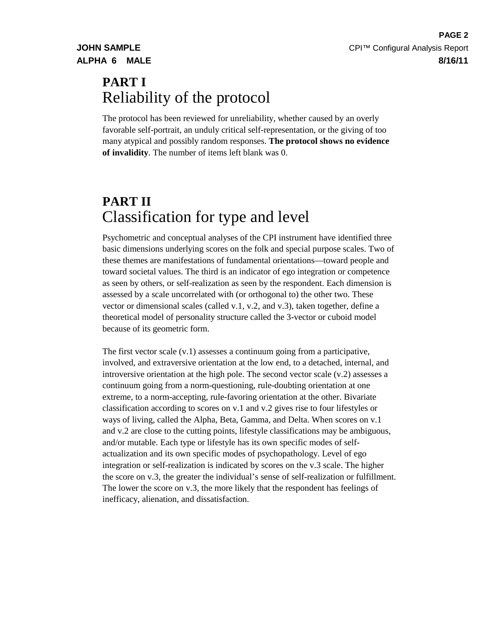# **PART I** Reliability of the protocol

The protocol has been reviewed for unreliability, whether caused by an overly favorable self-portrait, an unduly critical self-representation, or the giving of too many atypical and possibly random responses. **The protocol shows no evidence of invalidity**. The number of items left blank was 0.

# **PART II** Classification for type and level

Psychometric and conceptual analyses of the CPI instrument have identified three basic dimensions underlying scores on the folk and special purpose scales. Two of these themes are manifestations of fundamental orientations—toward people and toward societal values. The third is an indicator of ego integration or competence as seen by others, or self-realization as seen by the respondent. Each dimension is assessed by a scale uncorrelated with (or orthogonal to) the other two. These vector or dimensional scales (called v.1, v.2, and v.3), taken together, define a theoretical model of personality structure called the 3-vector or cuboid model because of its geometric form.

The first vector scale (v.1) assesses a continuum going from a participative, involved, and extraversive orientation at the low end, to a detached, internal, and introversive orientation at the high pole. The second vector scale (v.2) assesses a continuum going from a norm-questioning, rule-doubting orientation at one extreme, to a norm-accepting, rule-favoring orientation at the other. Bivariate classification according to scores on v.1 and v.2 gives rise to four lifestyles or ways of living, called the Alpha, Beta, Gamma, and Delta. When scores on v.1 and v.2 are close to the cutting points, lifestyle classifications may be ambiguous, and/or mutable. Each type or lifestyle has its own specific modes of selfactualization and its own specific modes of psychopathology. Level of ego integration or self-realization is indicated by scores on the v.3 scale. The higher the score on v.3, the greater the individual's sense of self-realization or fulfillment. The lower the score on v.3, the more likely that the respondent has feelings of inefficacy, alienation, and dissatisfaction.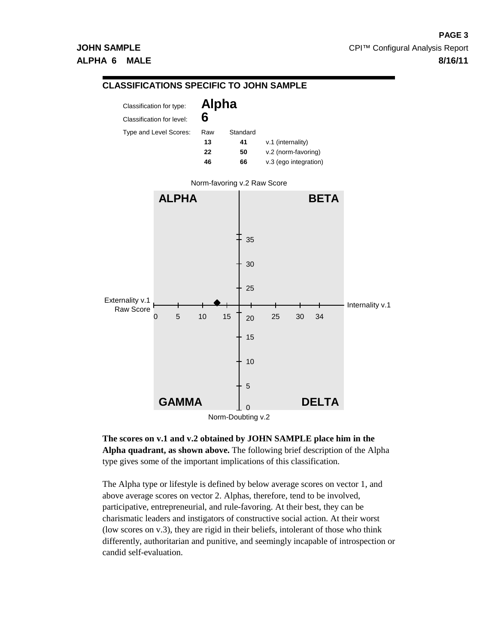

**The scores on v.1 and v.2 obtained by JOHN SAMPLE place him in the Alpha quadrant, as shown above.** The following brief description of the Alpha type gives some of the important implications of this classification.

The Alpha type or lifestyle is defined by below average scores on vector 1, and above average scores on vector 2. Alphas, therefore, tend to be involved, participative, entrepreneurial, and rule-favoring. At their best, they can be charismatic leaders and instigators of constructive social action. At their worst (low scores on v.3), they are rigid in their beliefs, intolerant of those who think differently, authoritarian and punitive, and seemingly incapable of introspection or candid self-evaluation.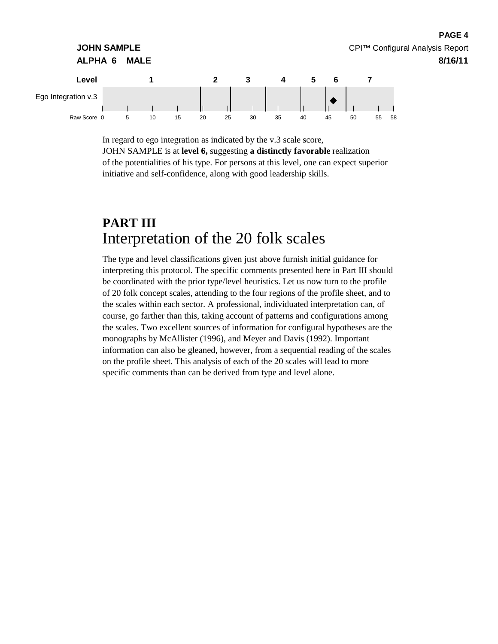

In regard to ego integration as indicated by the v.3 scale score, JOHN SAMPLE is at **level 6,** suggesting **a distinctly favorable** realization of the potentialities of his type. For persons at this level, one can expect superior initiative and self-confidence, along with good leadership skills.

**PAGE 4**

# **PART III** Interpretation of the 20 folk scales

The type and level classifications given just above furnish initial guidance for interpreting this protocol. The specific comments presented here in Part III should be coordinated with the prior type/level heuristics. Let us now turn to the profile of 20 folk concept scales, attending to the four regions of the profile sheet, and to the scales within each sector. A professional, individuated interpretation can, of course, go farther than this, taking account of patterns and configurations among the scales. Two excellent sources of information for configural hypotheses are the monographs by McAllister (1996), and Meyer and Davis (1992). Important information can also be gleaned, however, from a sequential reading of the scales on the profile sheet. This analysis of each of the 20 scales will lead to more specific comments than can be derived from type and level alone.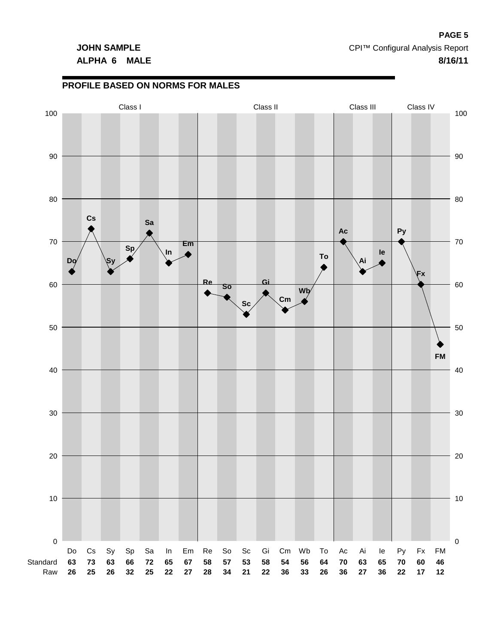# **ALPHA 6 MALE 8/16/11**

## **PROFILE BASED ON NORMS FOR MALES**

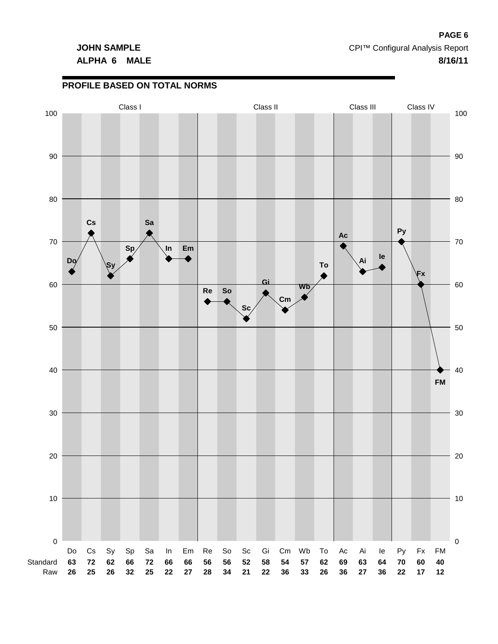### **PROFILE BASED ON TOTAL NORMS**

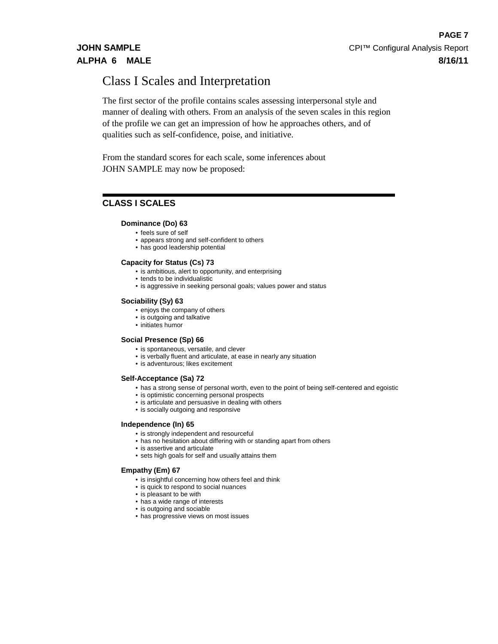# Class I Scales and Interpretation

The first sector of the profile contains scales assessing interpersonal style and manner of dealing with others. From an analysis of the seven scales in this region of the profile we can get an impression of how he approaches others, and of qualities such as self-confidence, poise, and initiative.

From the standard scores for each scale, some inferences about JOHN SAMPLE may now be proposed:

# **CLASS I SCALES**

### **Dominance (Do) 63**

- feels sure of self
- appears strong and self-confident to others
- has good leadership potential

### **Capacity for Status (Cs) 73**

- is ambitious, alert to opportunity, and enterprising
- tends to be individualistic
- is aggressive in seeking personal goals; values power and status

### **Sociability (Sy) 63**

- enjoys the company of others
- is outgoing and talkative
- initiates humor

### **Social Presence (Sp) 66**

- is spontaneous, versatile, and clever
- is verbally fluent and articulate, at ease in nearly any situation
- is adventurous; likes excitement

### **Self-Acceptance (Sa) 72**

- has a strong sense of personal worth, even to the point of being self-centered and egoistic
- is optimistic concerning personal prospects
- is articulate and persuasive in dealing with others
- is socially outgoing and responsive

#### **Independence (In) 65**

- is strongly independent and resourceful
- has no hesitation about differing with or standing apart from others
- is assertive and articulate
- sets high goals for self and usually attains them

#### **Empathy (Em) 67**

- is insightful concerning how others feel and think
- is quick to respond to social nuances
- is pleasant to be with
- has a wide range of interests
- is outgoing and sociable
- has progressive views on most issues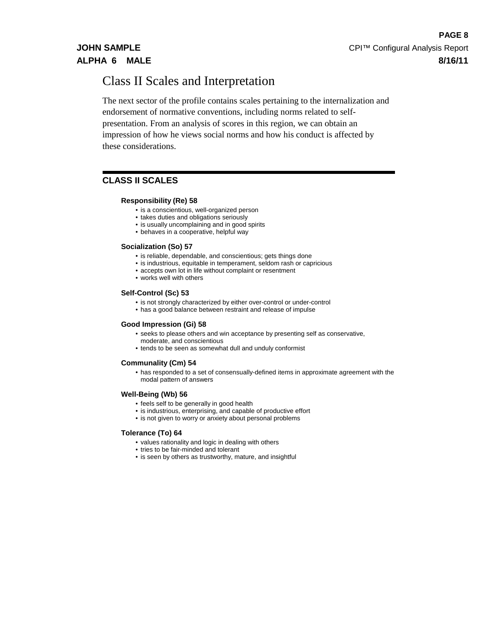# Class II Scales and Interpretation

The next sector of the profile contains scales pertaining to the internalization and endorsement of normative conventions, including norms related to selfpresentation. From an analysis of scores in this region, we can obtain an impression of how he views social norms and how his conduct is affected by these considerations.

# **CLASS II SCALES**

### **Responsibility (Re) 58**

- is a conscientious, well-organized person
- takes duties and obligations seriously
- is usually uncomplaining and in good spirits
- behaves in a cooperative, helpful way

### **Socialization (So) 57**

- is reliable, dependable, and conscientious; gets things done
- is industrious, equitable in temperament, seldom rash or capricious
- accepts own lot in life without complaint or resentment
- works well with others

### **Self-Control (Sc) 53**

- is not strongly characterized by either over-control or under-control
- has a good balance between restraint and release of impulse

### **Good Impression (Gi) 58**

- seeks to please others and win acceptance by presenting self as conservative, moderate, and conscientious
- tends to be seen as somewhat dull and unduly conformist

#### **Communality (Cm) 54**

• has responded to a set of consensually-defined items in approximate agreement with the modal pattern of answers

### **Well-Being (Wb) 56**

- feels self to be generally in good health
- is industrious, enterprising, and capable of productive effort
- is not given to worry or anxiety about personal problems

#### **Tolerance (To) 64**

- values rationality and logic in dealing with others
- tries to be fair-minded and tolerant
- is seen by others as trustworthy, mature, and insightful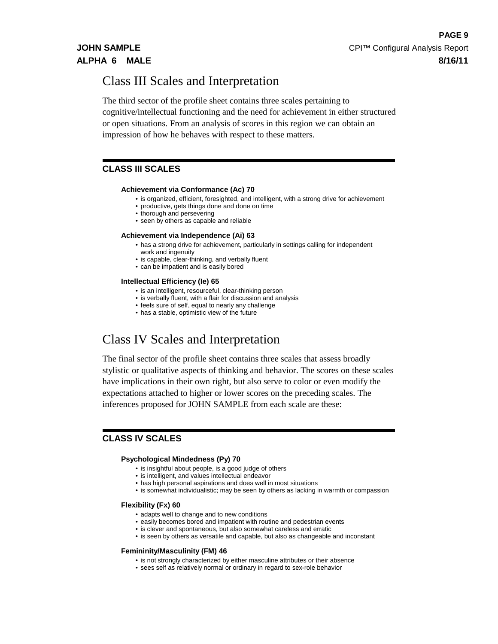# Class III Scales and Interpretation

The third sector of the profile sheet contains three scales pertaining to cognitive/intellectual functioning and the need for achievement in either structured or open situations. From an analysis of scores in this region we can obtain an impression of how he behaves with respect to these matters.

# **CLASS III SCALES**

### **Achievement via Conformance (Ac) 70**

- is organized, efficient, foresighted, and intelligent, with a strong drive for achievement
- productive, gets things done and done on time
- thorough and persevering
- seen by others as capable and reliable

#### **Achievement via Independence (Ai) 63**

- has a strong drive for achievement, particularly in settings calling for independent work and ingenuity
- is capable, clear-thinking, and verbally fluent
- can be impatient and is easily bored

#### **Intellectual Efficiency (Ie) 65**

- is an intelligent, resourceful, clear-thinking person
- is verbally fluent, with a flair for discussion and analysis
- feels sure of self, equal to nearly any challenge
- has a stable, optimistic view of the future

# Class IV Scales and Interpretation

The final sector of the profile sheet contains three scales that assess broadly stylistic or qualitative aspects of thinking and behavior. The scores on these scales have implications in their own right, but also serve to color or even modify the expectations attached to higher or lower scores on the preceding scales. The inferences proposed for JOHN SAMPLE from each scale are these:

## **CLASS IV SCALES**

#### **Psychological Mindedness (Py) 70**

- is insightful about people, is a good judge of others
- is intelligent, and values intellectual endeavor
- has high personal aspirations and does well in most situations
- is somewhat individualistic; may be seen by others as lacking in warmth or compassion

#### **Flexibility (Fx) 60**

- adapts well to change and to new conditions
- easily becomes bored and impatient with routine and pedestrian events
- is clever and spontaneous, but also somewhat careless and erratic
- is seen by others as versatile and capable, but also as changeable and inconstant

#### **Femininity/Masculinity (FM) 46**

- is not strongly characterized by either masculine attributes or their absence
- sees self as relatively normal or ordinary in regard to sex-role behavior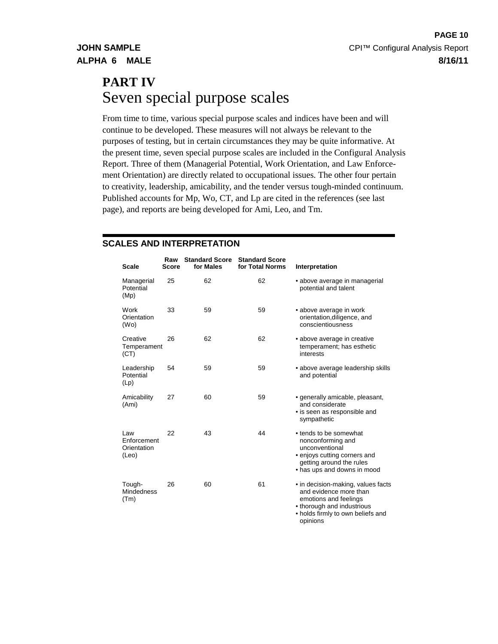# **PART IV** Seven special purpose scales

From time to time, various special purpose scales and indices have been and will continue to be developed. These measures will not always be relevant to the purposes of testing, but in certain circumstances they may be quite informative. At the present time, seven special purpose scales are included in the Configural Analysis Report. Three of them (Managerial Potential, Work Orientation, and Law Enforcement Orientation) are directly related to occupational issues. The other four pertain to creativity, leadership, amicability, and the tender versus tough-minded continuum. Published accounts for Mp, Wo, CT, and Lp are cited in the references (see last page), and reports are being developed for Ami, Leo, and Tm.

# **SCALES AND INTERPRETATION**

| <b>Scale</b>                               | Raw<br>Score | <b>Standard Score</b><br>for Males | <b>Standard Score</b><br>for Total Norms | Interpretation                                                                                                                                                       |
|--------------------------------------------|--------------|------------------------------------|------------------------------------------|----------------------------------------------------------------------------------------------------------------------------------------------------------------------|
| Managerial<br>Potential<br>(Mp)            | 25           | 62                                 | 62                                       | • above average in managerial<br>potential and talent                                                                                                                |
| Work<br>Orientation<br>(W <sub>O</sub> )   | 33           | 59                                 | 59                                       | • above average in work<br>orientation, diligence, and<br>conscientiousness                                                                                          |
| Creative<br>Temperament<br>(CT)            | 26           | 62                                 | 62                                       | • above average in creative<br>temperament; has esthetic<br>interests                                                                                                |
| Leadership<br>Potential<br>(Lp)            | 54           | 59                                 | 59                                       | • above average leadership skills<br>and potential                                                                                                                   |
| Amicability<br>(Ami)                       | 27           | 60                                 | 59                                       | • generally amicable, pleasant,<br>and considerate<br>• is seen as responsible and<br>sympathetic                                                                    |
| Law<br>Enforcement<br>Orientation<br>(Leo) | 22           | 43                                 | 44                                       | • tends to be somewhat<br>nonconforming and<br>unconventional<br>• enjoys cutting corners and<br>getting around the rules<br>• has ups and downs in mood             |
| Tough-<br><b>Mindedness</b><br>(Tm)        | 26           | 60                                 | 61                                       | • in decision-making, values facts<br>and evidence more than<br>emotions and feelings<br>• thorough and industrious<br>• holds firmly to own beliefs and<br>opinions |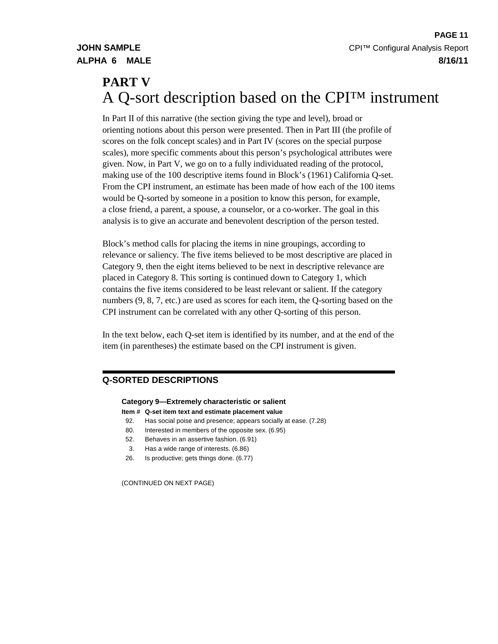# **PART V** A Q-sort description based on the CPI™ instrument

In Part II of this narrative (the section giving the type and level), broad or orienting notions about this person were presented. Then in Part III (the profile of scores on the folk concept scales) and in Part IV (scores on the special purpose scales), more specific comments about this person's psychological attributes were given. Now, in Part V, we go on to a fully individuated reading of the protocol, making use of the 100 descriptive items found in Block's (1961) California Q-set. From the CPI instrument, an estimate has been made of how each of the 100 items would be Q-sorted by someone in a position to know this person, for example, a close friend, a parent, a spouse, a counselor, or a co-worker. The goal in this analysis is to give an accurate and benevolent description of the person tested.

Block's method calls for placing the items in nine groupings, according to relevance or saliency. The five items believed to be most descriptive are placed in Category 9, then the eight items believed to be next in descriptive relevance are placed in Category 8. This sorting is continued down to Category 1, which contains the five items considered to be least relevant or salient. If the category numbers (9, 8, 7, etc.) are used as scores for each item, the Q-sorting based on the CPI instrument can be correlated with any other Q-sorting of this person.

In the text below, each Q-set item is identified by its number, and at the end of the item (in parentheses) the estimate based on the CPI instrument is given.

# **Q-SORTED DESCRIPTIONS**

### **Category 9—Extremely characteristic or salient**

- **Item # Q-set item text and estimate placement value**
- 92. Has social poise and presence; appears socially at ease. (7.28)
- 80. Interested in members of the opposite sex. (6.95)
- 52. Behaves in an assertive fashion. (6.91)
- 3. Has a wide range of interests. (6.86)
- 26. Is productive; gets things done. (6.77)

(CONTINUED ON NEXT PAGE)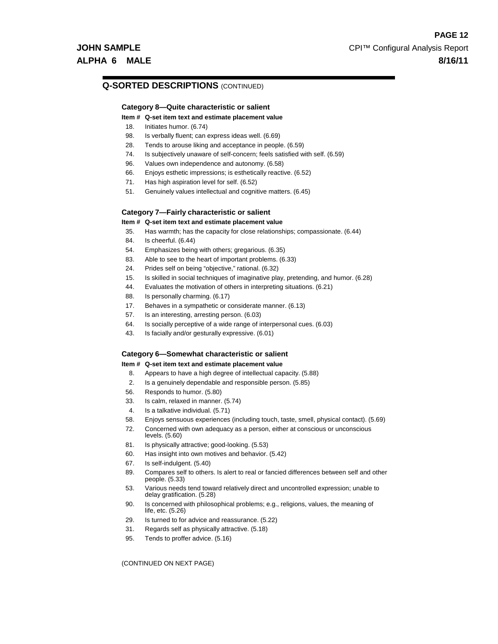### **Q-SORTED DESCRIPTIONS** (CONTINUED)

#### **Category 8—Quite characteristic or salient**

#### **Item # Q-set item text and estimate placement value**

- 18. Initiates humor. (6.74)
- 98. Is verbally fluent; can express ideas well. (6.69)
- 28. Tends to arouse liking and acceptance in people. (6.59)
- 74. Is subjectively unaware of self-concern; feels satisfied with self. (6.59)
- 96. Values own independence and autonomy. (6.58)
- 66. Enjoys esthetic impressions; is esthetically reactive. (6.52)
- 71. Has high aspiration level for self. (6.52)
- 51. Genuinely values intellectual and cognitive matters. (6.45)

#### **Category 7—Fairly characteristic or salient**

#### **Item # Q-set item text and estimate placement value**

- 35. Has warmth; has the capacity for close relationships; compassionate. (6.44)
- 84. Is cheerful. (6.44)
- 54. Emphasizes being with others; gregarious. (6.35)
- 83. Able to see to the heart of important problems. (6.33)
- 24. Prides self on being "objective," rational. (6.32)
- 15. Is skilled in social techniques of imaginative play, pretending, and humor. (6.28)
- 44. Evaluates the motivation of others in interpreting situations. (6.21)
- 88. Is personally charming. (6.17)
- 17. Behaves in a sympathetic or considerate manner. (6.13)
- 57. Is an interesting, arresting person. (6.03)
- 64. Is socially perceptive of a wide range of interpersonal cues. (6.03)
- 43. Is facially and/or gesturally expressive. (6.01)

#### **Category 6—Somewhat characteristic or salient**

#### **Item # Q-set item text and estimate placement value**

- 8. Appears to have a high degree of intellectual capacity. (5.88)
- 2. Is a genuinely dependable and responsible person. (5.85)
- 56. Responds to humor. (5.80)
- 33. Is calm, relaxed in manner. (5.74)
- 4. Is a talkative individual. (5.71)
- 58. Enjoys sensuous experiences (including touch, taste, smell, physical contact). (5.69)
- 72. Concerned with own adequacy as a person, either at conscious or unconscious levels. (5.60)
- 81. Is physically attractive; good-looking. (5.53)
- 60. Has insight into own motives and behavior. (5.42)
- 67. Is self-indulgent. (5.40)
- 89. Compares self to others. Is alert to real or fancied differences between self and other people. (5.33)
- 53. Various needs tend toward relatively direct and uncontrolled expression; unable to delay gratification. (5.28)
- 90. Is concerned with philosophical problems; e.g., religions, values, the meaning of life, etc. (5.26)
- 29. Is turned to for advice and reassurance. (5.22)
- 31. Regards self as physically attractive. (5.18)
- 95. Tends to proffer advice. (5.16)

(CONTINUED ON NEXT PAGE)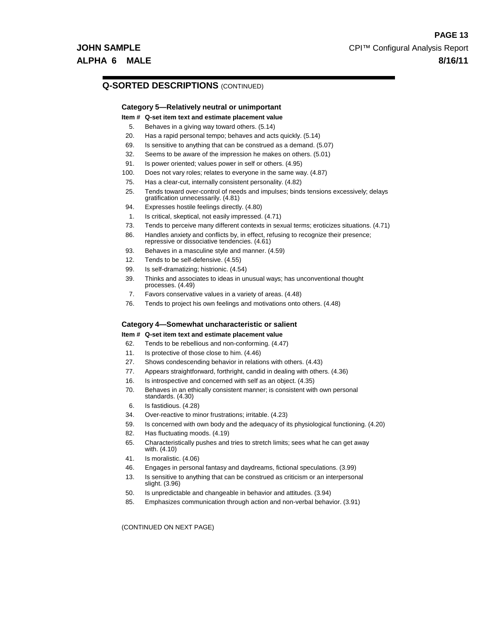### **Q-SORTED DESCRIPTIONS** (CONTINUED)

### **Category 5—Relatively neutral or unimportant**

- **Item # Q-set item text and estimate placement value**
- 5. Behaves in a giving way toward others. (5.14)
- 20. Has a rapid personal tempo; behaves and acts quickly. (5.14)
- 69. Is sensitive to anything that can be construed as a demand. (5.07)
- 32. Seems to be aware of the impression he makes on others. (5.01)
- 91. Is power oriented; values power in self or others. (4.95)
- 100. Does not vary roles; relates to everyone in the same way. (4.87)
- 75. Has a clear-cut, internally consistent personality. (4.82)
- 25. Tends toward over-control of needs and impulses; binds tensions excessively; delays gratification unnecessarily. (4.81)
- 94. Expresses hostile feelings directly. (4.80)
- 1. Is critical, skeptical, not easily impressed. (4.71)
- 73. Tends to perceive many different contexts in sexual terms; eroticizes situations. (4.71)
- 86. Handles anxiety and conflicts by, in effect, refusing to recognize their presence;
- repressive or dissociative tendencies. (4.61) 93. Behaves in a masculine style and manner. (4.59)
- 12. Tends to be self-defensive. (4.55)
- 
- 99. Is self-dramatizing; histrionic. (4.54)
- 39. Thinks and associates to ideas in unusual ways; has unconventional thought processes. (4.49)
- 7. Favors conservative values in a variety of areas. (4.48)
- 76. Tends to project his own feelings and motivations onto others. (4.48)

## **Category 4—Somewhat uncharacteristic or salient**

### **Item # Q-set item text and estimate placement value**

- 62. Tends to be rebellious and non-conforming. (4.47)
- 11. Is protective of those close to him. (4.46)
- 27. Shows condescending behavior in relations with others. (4.43)
- 77. Appears straightforward, forthright, candid in dealing with others. (4.36)
- 16. Is introspective and concerned with self as an object. (4.35)
- 70. Behaves in an ethically consistent manner; is consistent with own personal standards. (4.30)
- 6. Is fastidious. (4.28)
- 34. Over-reactive to minor frustrations; irritable. (4.23)
- 59. Is concerned with own body and the adequacy of its physiological functioning. (4.20)
- 82. Has fluctuating moods. (4.19)
- 65. Characteristically pushes and tries to stretch limits; sees what he can get away with. (4.10)
- 41. Is moralistic. (4.06)
- 46. Engages in personal fantasy and daydreams, fictional speculations. (3.99)
- 13. Is sensitive to anything that can be construed as criticism or an interpersonal slight. (3.96)
- 50. Is unpredictable and changeable in behavior and attitudes. (3.94)
- 85. Emphasizes communication through action and non-verbal behavior. (3.91)

(CONTINUED ON NEXT PAGE)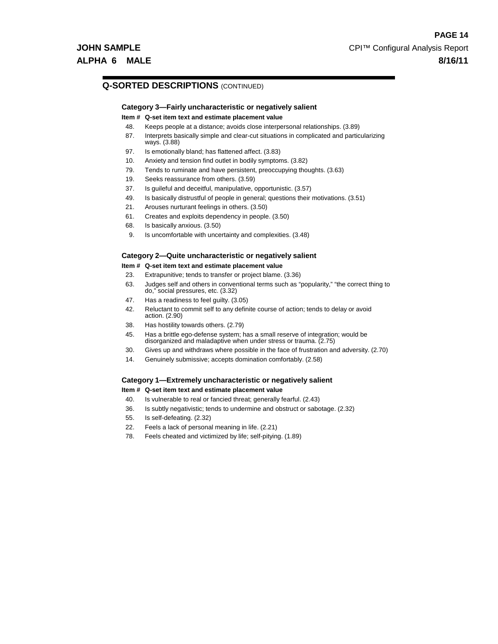### **Q-SORTED DESCRIPTIONS** (CONTINUED)

### **Category 3—Fairly uncharacteristic or negatively salient**

#### **Item # Q-set item text and estimate placement value**

- 48. Keeps people at a distance; avoids close interpersonal relationships. (3.89)
- 87. Interprets basically simple and clear-cut situations in complicated and particularizing ways. (3.88)
- 97. Is emotionally bland; has flattened affect. (3.83)
- 10. Anxiety and tension find outlet in bodily symptoms. (3.82)
- 79. Tends to ruminate and have persistent, preoccupying thoughts. (3.63)
- 19. Seeks reassurance from others. (3.59)
- 37. Is guileful and deceitful, manipulative, opportunistic. (3.57)
- 49. Is basically distrustful of people in general; questions their motivations. (3.51)
- 21. Arouses nurturant feelings in others. (3.50)
- 61. Creates and exploits dependency in people. (3.50)
- 68. Is basically anxious. (3.50)
- 9. Is uncomfortable with uncertainty and complexities. (3.48)

### **Category 2—Quite uncharacteristic or negatively salient**

### **Item # Q-set item text and estimate placement value**

- 23. Extrapunitive; tends to transfer or project blame. (3.36)
- 63. Judges self and others in conventional terms such as "popularity," "the correct thing to do," social pressures, etc. (3.32)
- 47. Has a readiness to feel guilty. (3.05)
- 42. Reluctant to commit self to any definite course of action; tends to delay or avoid action. (2.90)
- 38. Has hostility towards others. (2.79)
- 45. Has a brittle ego-defense system; has a small reserve of integration; would be disorganized and maladaptive when under stress or trauma. (2.75)
- 30. Gives up and withdraws where possible in the face of frustration and adversity. (2.70)
- 14. Genuinely submissive; accepts domination comfortably. (2.58)

### **Category 1—Extremely uncharacteristic or negatively salient**

#### **Item # Q-set item text and estimate placement value**

- 40. Is vulnerable to real or fancied threat; generally fearful. (2.43)
- 36. Is subtly negativistic; tends to undermine and obstruct or sabotage. (2.32)
- 55. Is self-defeating. (2.32)
- 22. Feels a lack of personal meaning in life. (2.21)
- 78. Feels cheated and victimized by life; self-pitying. (1.89)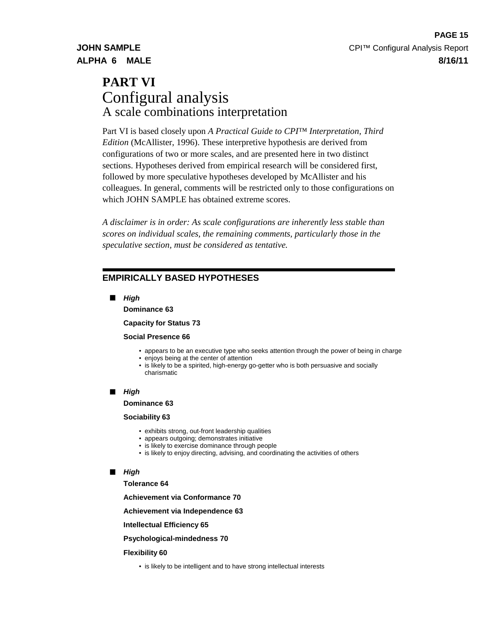# **PART VI** Configural analysis A scale combinations interpretation

Part VI is based closely upon *A Practical Guide to CPI™ Interpretation, Third Edition* (McAllister, 1996). These interpretive hypothesis are derived from configurations of two or more scales, and are presented here in two distinct sections. Hypotheses derived from empirical research will be considered first, followed by more speculative hypotheses developed by McAllister and his colleagues. In general, comments will be restricted only to those configurations on which JOHN SAMPLE has obtained extreme scores.

*A disclaimer is in order: As scale configurations are inherently less stable than scores on individual scales, the remaining comments, particularly those in the speculative section, must be considered as tentative.*

## **EMPIRICALLY BASED HYPOTHESES**

**High**

**Dominance 63**

**Capacity for Status 73**

#### **Social Presence 66**

- appears to be an executive type who seeks attention through the power of being in charge
- enjoys being at the center of attention
- is likely to be a spirited, high-energy go-getter who is both persuasive and socially charismatic

#### **High**

#### **Dominance 63**

### **Sociability 63**

- exhibits strong, out-front leadership qualities
- appears outgoing; demonstrates initiative
- is likely to exercise dominance through people
- is likely to enjoy directing, advising, and coordinating the activities of others

### **High**

**Tolerance 64**

**Achievement via Conformance 70**

**Achievement via Independence 63**

**Intellectual Efficiency 65**

**Psychological-mindedness 70**

#### **Flexibility 60**

• is likely to be intelligent and to have strong intellectual interests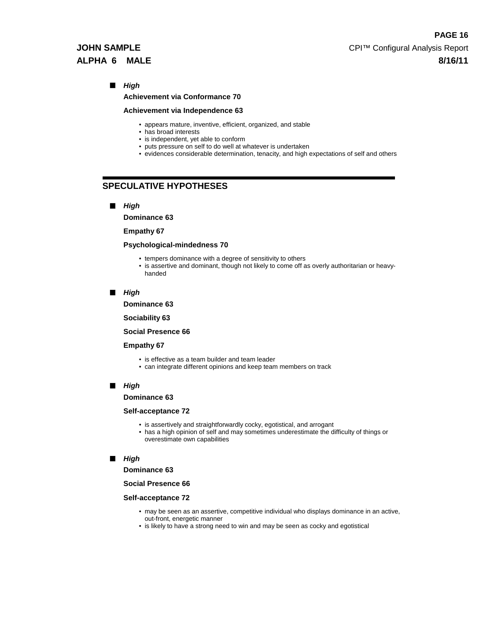#### **Achievement via Conformance 70**

#### **Achievement via Independence 63**

- appears mature, inventive, efficient, organized, and stable
- has broad interests
- is independent, yet able to conform
- puts pressure on self to do well at whatever is undertaken
- evidences considerable determination, tenacity, and high expectations of self and others

## **SPECULATIVE HYPOTHESES**

**High**

**Dominance 63**

#### **Empathy 67**

#### **Psychological-mindedness 70**

- tempers dominance with a degree of sensitivity to others
- is assertive and dominant, though not likely to come off as overly authoritarian or heavyhanded
- **High**

**Dominance 63**

**Sociability 63**

#### **Social Presence 66**

#### **Empathy 67**

- is effective as a team builder and team leader
- can integrate different opinions and keep team members on track

#### **High**

#### **Dominance 63**

#### **Self-acceptance 72**

- is assertively and straightforwardly cocky, egotistical, and arrogant
- has a high opinion of self and may sometimes underestimate the difficulty of things or overestimate own capabilities

#### **High**

#### **Dominance 63**

**Social Presence 66**

#### **Self-acceptance 72**

- may be seen as an assertive, competitive individual who displays dominance in an active, out-front, energetic manner
- is likely to have a strong need to win and may be seen as cocky and egotistical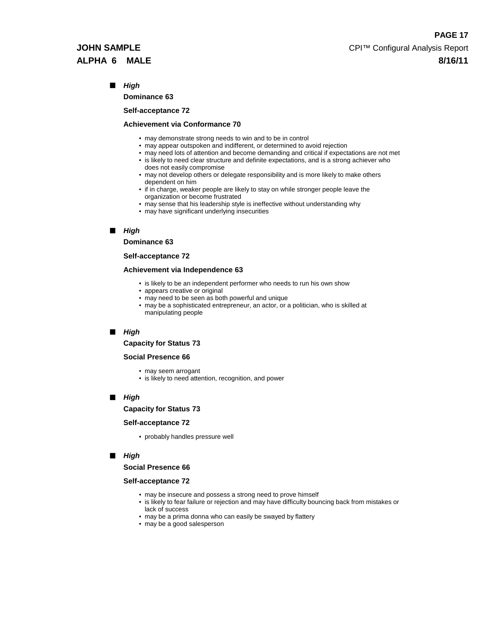**Dominance 63**

#### **Self-acceptance 72**

#### **Achievement via Conformance 70**

- may demonstrate strong needs to win and to be in control
- may appear outspoken and indifferent, or determined to avoid rejection
- may need lots of attention and become demanding and critical if expectations are not met • is likely to need clear structure and definite expectations, and is a strong achiever who does not easily compromise
- may not develop others or delegate responsibility and is more likely to make others dependent on him
- if in charge, weaker people are likely to stay on while stronger people leave the organization or become frustrated
- may sense that his leadership style is ineffective without understanding why
- may have significant underlying insecurities

#### **High**

#### **Dominance 63**

#### **Self-acceptance 72**

#### **Achievement via Independence 63**

- is likely to be an independent performer who needs to run his own show
- appears creative or original
- may need to be seen as both powerful and unique
- may be a sophisticated entrepreneur, an actor, or a politician, who is skilled at manipulating people

#### **High**

#### **Capacity for Status 73**

#### **Social Presence 66**

- may seem arrogant
- is likely to need attention, recognition, and power

#### **High**

**Capacity for Status 73**

#### **Self-acceptance 72**

• probably handles pressure well

#### **High**

#### **Social Presence 66**

#### **Self-acceptance 72**

- may be insecure and possess a strong need to prove himself
- is likely to fear failure or rejection and may have difficulty bouncing back from mistakes or lack of success
- may be a prima donna who can easily be swayed by flattery
- may be a good salesperson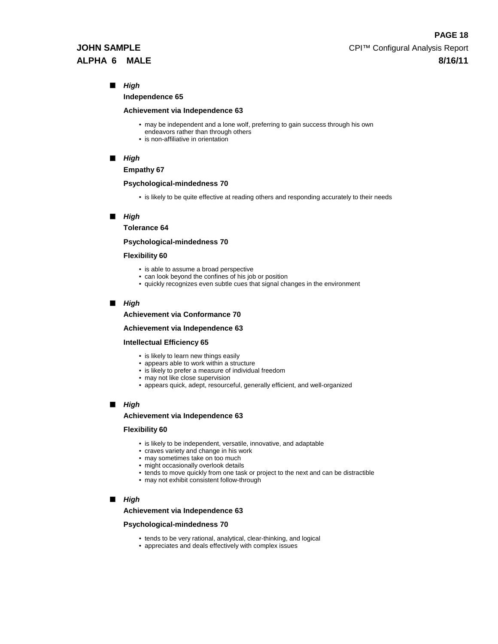**Independence 65**

#### **Achievement via Independence 63**

- may be independent and a lone wolf, preferring to gain success through his own
- endeavors rather than through others
- is non-affiliative in orientation

#### **High**

**Empathy 67**

#### **Psychological-mindedness 70**

• is likely to be quite effective at reading others and responding accurately to their needs

#### **High**

**Tolerance 64**

#### **Psychological-mindedness 70**

#### **Flexibility 60**

- is able to assume a broad perspective
- can look beyond the confines of his job or position
- quickly recognizes even subtle cues that signal changes in the environment

#### **High**

#### **Achievement via Conformance 70**

#### **Achievement via Independence 63**

#### **Intellectual Efficiency 65**

- is likely to learn new things easily
- appears able to work within a structure
- is likely to prefer a measure of individual freedom
- may not like close supervision
- appears quick, adept, resourceful, generally efficient, and well-organized

#### **High**

#### **Achievement via Independence 63**

#### **Flexibility 60**

- is likely to be independent, versatile, innovative, and adaptable
- craves variety and change in his work
- may sometimes take on too much
- might occasionally overlook details
- tends to move quickly from one task or project to the next and can be distractible
- may not exhibit consistent follow-through

#### **High**

#### **Achievement via Independence 63**

#### **Psychological-mindedness 70**

- tends to be very rational, analytical, clear-thinking, and logical
- appreciates and deals effectively with complex issues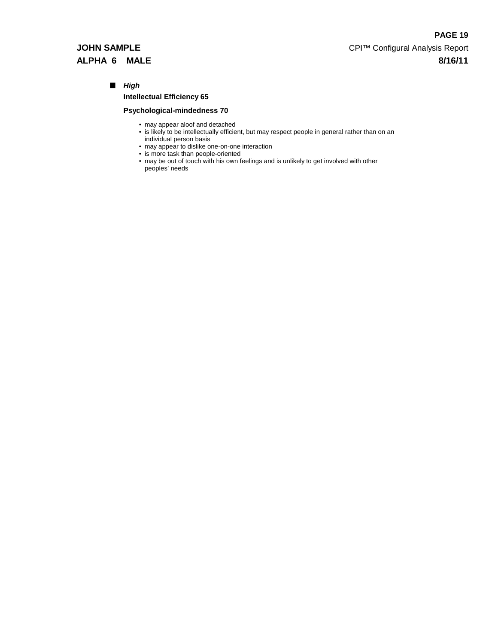**Intellectual Efficiency 65**

### **Psychological-mindedness 70**

- may appear aloof and detached
- is likely to be intellectually efficient, but may respect people in general rather than on an individual person basis
- may appear to dislike one-on-one interaction
- is more task than people-oriented
- may be out of touch with his own feelings and is unlikely to get involved with other peoples' needs